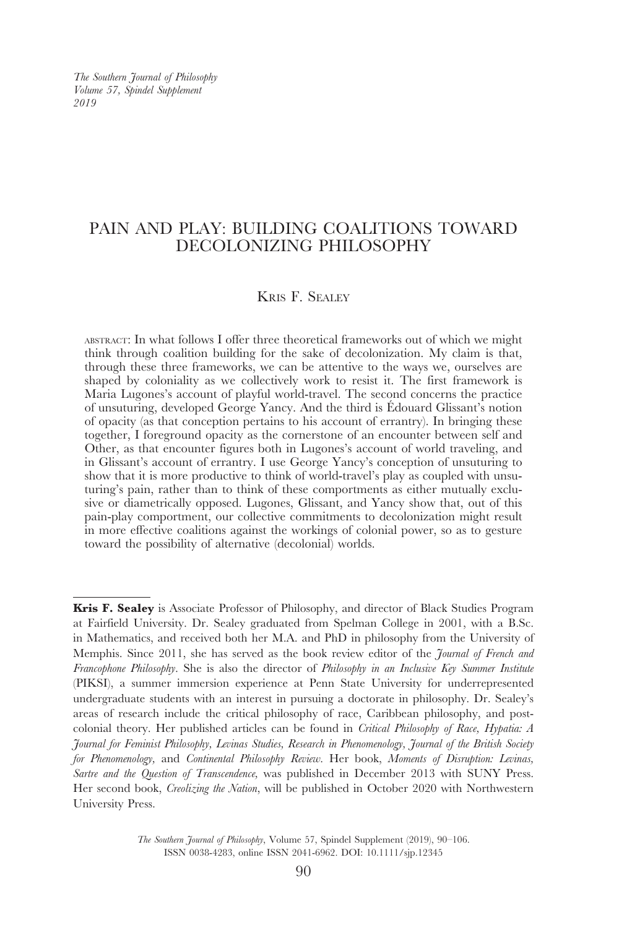*The Southern Journal of Philosophy Volume 57, Spindel Supplement 2019*

# PAIN AND PLAY: BUILDING COALITIONS TOWARD DECOLONIZING PHILOSOPHY

## Kris F. Sealey

abstract: In what follows I offer three theoretical frameworks out of which we might think through coalition building for the sake of decolonization. My claim is that, through these three frameworks, we can be attentive to the ways we, ourselves are shaped by coloniality as we collectively work to resist it. The first framework is Maria Lugones's account of playful world-travel. The second concerns the practice of unsuturing, developed George Yancy. And the third is Édouard Glissant's notion of opacity (as that conception pertains to his account of errantry). In bringing these together, I foreground opacity as the cornerstone of an encounter between self and Other, as that encounter figures both in Lugones's account of world traveling, and in Glissant's account of errantry. I use George Yancy's conception of unsuturing to show that it is more productive to think of world-travel's play as coupled with unsuturing's pain, rather than to think of these comportments as either mutually exclusive or diametrically opposed. Lugones, Glissant, and Yancy show that, out of this pain-play comportment, our collective commitments to decolonization might result in more effective coalitions against the workings of colonial power, so as to gesture toward the possibility of alternative (decolonial) worlds.

**Kris F. Sealey** is Associate Professor of Philosophy, and director of Black Studies Program at Fairfield University. Dr. Sealey graduated from Spelman College in 2001, with a B.Sc. in Mathematics, and received both her M.A. and PhD in philosophy from the University of Memphis. Since 2011, she has served as the book review editor of the *Journal of French and Francophone Philosophy*. She is also the director of *Philosophy in an Inclusive Key Summer Institute* (PIKSI), a summer immersion experience at Penn State University for underrepresented undergraduate students with an interest in pursuing a doctorate in philosophy. Dr. Sealey's areas of research include the critical philosophy of race, Caribbean philosophy, and postcolonial theory. Her published articles can be found in *Critical Philosophy of Race, Hypatia: A Journal for Feminist Philosophy, Levinas Studies, Research in Phenomenology, Journal of the British Society for Phenomenology,* and *Continental Philosophy Review.* Her book, *Moments of Disruption: Levinas, Sartre and the Question of Transcendence,* was published in December 2013 with SUNY Press. Her second book, *Creolizing the Nation*, will be published in October 2020 with Northwestern University Press.

> *The Southern Journal of Philosophy*, Volume 57, Spindel Supplement (2019), 90–106. ISSN 0038-4283, online ISSN 2041-6962. DOI: 10.1111/sjp.12345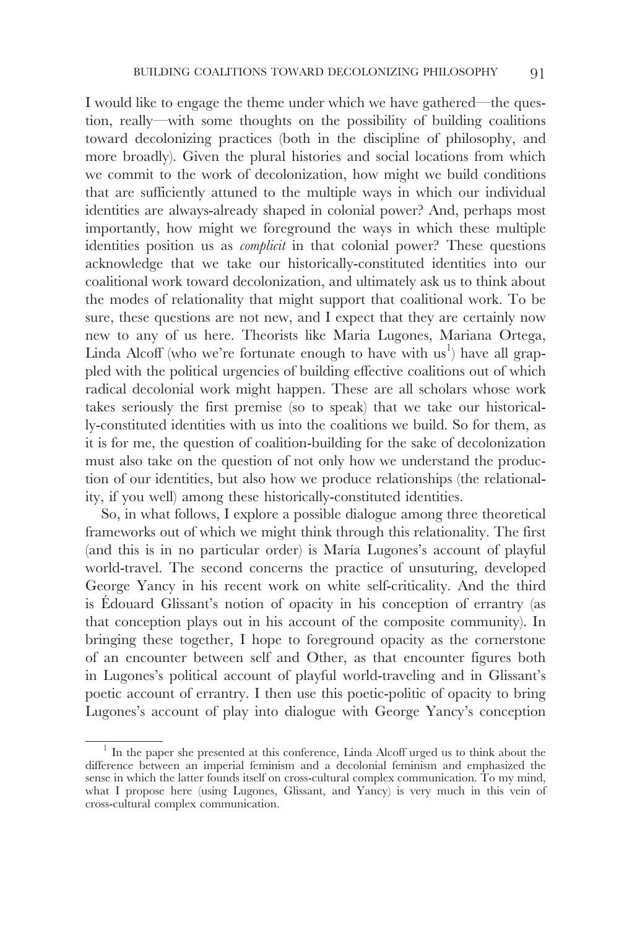I would like to engage the theme under which we have gathered—the question, really—with some thoughts on the possibility of building coalitions toward decolonizing practices (both in the discipline of philosophy, and more broadly). Given the plural histories and social locations from which we commit to the work of decolonization, how might we build conditions that are sufficiently attuned to the multiple ways in which our individual identities are always-already shaped in colonial power? And, perhaps most importantly, how might we foreground the ways in which these multiple identities position us as *complicit* in that colonial power? These questions acknowledge that we take our historically-constituted identities into our coalitional work toward decolonization, and ultimately ask us to think about the modes of relationality that might support that coalitional work. To be sure, these questions are not new, and I expect that they are certainly now new to any of us here. Theorists like Maria Lugones, Mariana Ortega, Linda Alcoff (who we're fortunate enough to have with  $\text{us}^1$ ) have all grappled with the political urgencies of building effective coalitions out of which radical decolonial work might happen. These are all scholars whose work takes seriously the first premise (so to speak) that we take our historically-constituted identities with us into the coalitions we build. So for them, as it is for me, the question of coalition-building for the sake of decolonization must also take on the question of not only how we understand the production of our identities, but also how we produce relationships (the relationality, if you well) among these historically-constituted identities.

So, in what follows, I explore a possible dialogue among three theoretical frameworks out of which we might think through this relationality. The first (and this is in no particular order) is María Lugones's account of playful world-travel. The second concerns the practice of unsuturing, developed George Yancy in his recent work on white self-criticality. And the third is Édouard Glissant's notion of opacity in his conception of errantry (as that conception plays out in his account of the composite community). In bringing these together, I hope to foreground opacity as the cornerstone of an encounter between self and Other, as that encounter figures both in Lugones's political account of playful world-traveling and in Glissant's poetic account of errantry. I then use this poetic-politic of opacity to bring Lugones's account of play into dialogue with George Yancy's conception

<sup>&</sup>lt;sup>1</sup> In the paper she presented at this conference, Linda Alcoff urged us to think about the difference between an imperial feminism and a decolonial feminism and emphasized the sense in which the latter founds itself on cross-cultural complex communication. To my mind, what I propose here (using Lugones, Glissant, and Yancy) is very much in this vein of cross-cultural complex communication.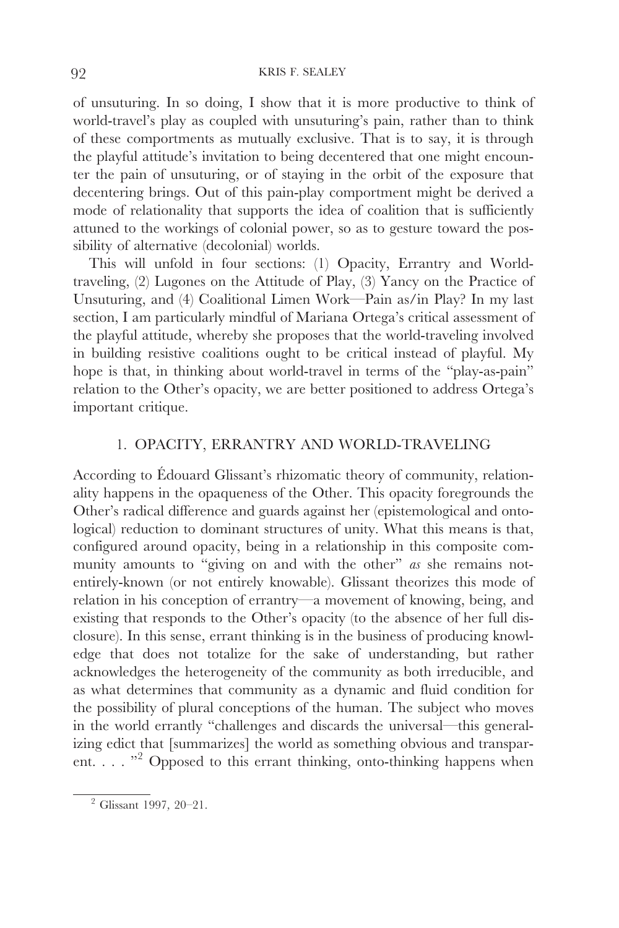of unsuturing. In so doing, I show that it is more productive to think of world-travel's play as coupled with unsuturing's pain, rather than to think of these comportments as mutually exclusive. That is to say, it is through the playful attitude's invitation to being decentered that one might encounter the pain of unsuturing, or of staying in the orbit of the exposure that decentering brings. Out of this pain-play comportment might be derived a mode of relationality that supports the idea of coalition that is sufficiently attuned to the workings of colonial power, so as to gesture toward the possibility of alternative (decolonial) worlds.

This will unfold in four sections: (1) Opacity, Errantry and Worldtraveling, (2) Lugones on the Attitude of Play, (3) Yancy on the Practice of Unsuturing, and (4) Coalitional Limen Work—Pain as/in Play? In my last section, I am particularly mindful of Mariana Ortega's critical assessment of the playful attitude, whereby she proposes that the world-traveling involved in building resistive coalitions ought to be critical instead of playful. My hope is that, in thinking about world-travel in terms of the "play-as-pain" relation to the Other's opacity, we are better positioned to address Ortega's important critique.

### 1. OPACITY, ERRANTRY AND WORLD-TRAVELING

According to Édouard Glissant's rhizomatic theory of community, relationality happens in the opaqueness of the Other. This opacity foregrounds the Other's radical difference and guards against her (epistemological and ontological) reduction to dominant structures of unity. What this means is that, configured around opacity, being in a relationship in this composite community amounts to "giving on and with the other" *as* she remains notentirely-known (or not entirely knowable). Glissant theorizes this mode of relation in his conception of errantry—a movement of knowing, being, and existing that responds to the Other's opacity (to the absence of her full disclosure). In this sense, errant thinking is in the business of producing knowledge that does not totalize for the sake of understanding, but rather acknowledges the heterogeneity of the community as both irreducible, and as what determines that community as a dynamic and fluid condition for the possibility of plural conceptions of the human. The subject who moves in the world errantly "challenges and discards the universal—this generalizing edict that [summarizes] the world as something obvious and transparent. . . . "<sup>2</sup> Opposed to this errant thinking, onto-thinking happens when

<sup>2</sup> Glissant 1997*,* 20–21.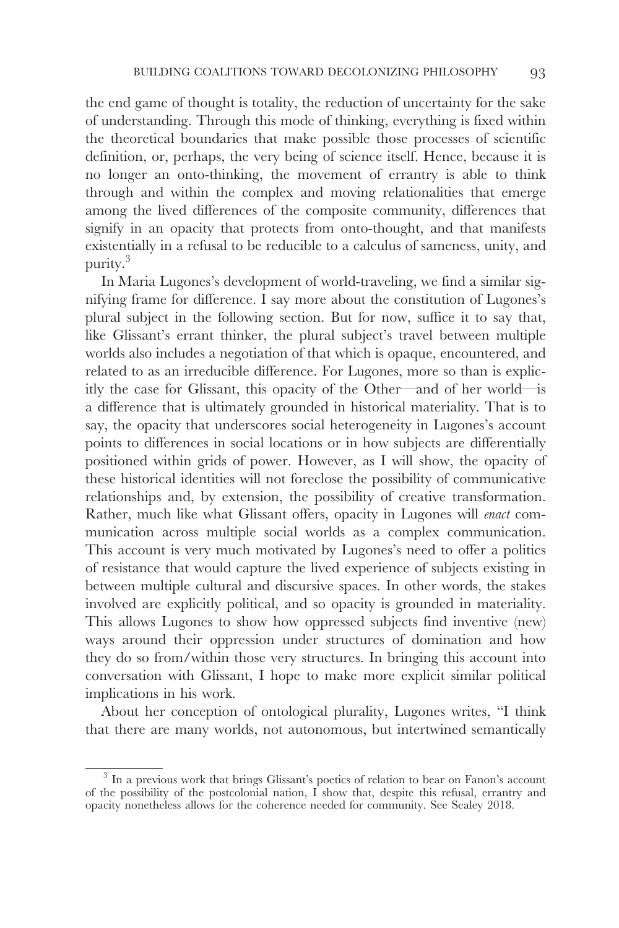the end game of thought is totality, the reduction of uncertainty for the sake of understanding. Through this mode of thinking, everything is fixed within the theoretical boundaries that make possible those processes of scientific definition, or, perhaps, the very being of science itself. Hence, because it is no longer an onto-thinking, the movement of errantry is able to think through and within the complex and moving relationalities that emerge among the lived differences of the composite community, differences that signify in an opacity that protects from onto-thought, and that manifests existentially in a refusal to be reducible to a calculus of sameness, unity, and purity.<sup>3</sup>

In Maria Lugones's development of world-traveling, we find a similar signifying frame for difference. I say more about the constitution of Lugones's plural subject in the following section. But for now, suffice it to say that, like Glissant's errant thinker, the plural subject's travel between multiple worlds also includes a negotiation of that which is opaque, encountered, and related to as an irreducible difference. For Lugones, more so than is explicitly the case for Glissant, this opacity of the Other—and of her world—is a difference that is ultimately grounded in historical materiality. That is to say, the opacity that underscores social heterogeneity in Lugones's account points to differences in social locations or in how subjects are differentially positioned within grids of power. However, as I will show, the opacity of these historical identities will not foreclose the possibility of communicative relationships and, by extension, the possibility of creative transformation. Rather, much like what Glissant offers, opacity in Lugones will *enact* communication across multiple social worlds as a complex communication. This account is very much motivated by Lugones's need to offer a politics of resistance that would capture the lived experience of subjects existing in between multiple cultural and discursive spaces. In other words, the stakes involved are explicitly political, and so opacity is grounded in materiality. This allows Lugones to show how oppressed subjects find inventive (new) ways around their oppression under structures of domination and how they do so from/within those very structures. In bringing this account into conversation with Glissant, I hope to make more explicit similar political implications in his work.

About her conception of ontological plurality, Lugones writes, "I think that there are many worlds, not autonomous, but intertwined semantically

<sup>&</sup>lt;sup>3</sup> In a previous work that brings Glissant's poetics of relation to bear on Fanon's account of the possibility of the postcolonial nation,  $\hat{\mathbf{I}}$  show that, despite this refusal, errantry and opacity nonetheless allows for the coherence needed for community. See Sealey 2018.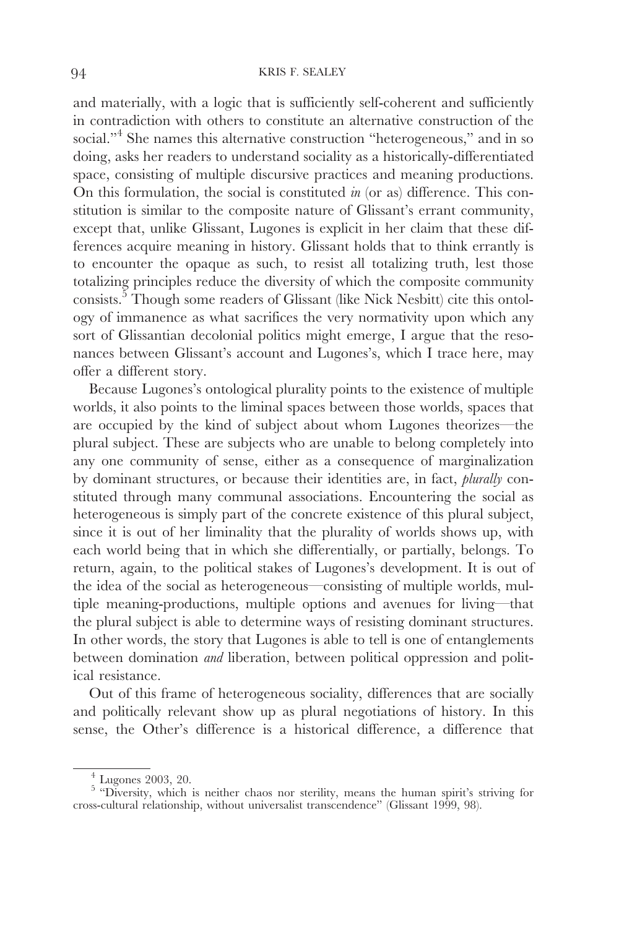#### 94 KRIS F. SEALEY

and materially, with a logic that is sufficiently self-coherent and sufficiently in contradiction with others to constitute an alternative construction of the social."<sup>4</sup> She names this alternative construction "heterogeneous," and in so doing, asks her readers to understand sociality as a historically-differentiated space, consisting of multiple discursive practices and meaning productions. On this formulation, the social is constituted *in* (or as) difference. This constitution is similar to the composite nature of Glissant's errant community, except that, unlike Glissant, Lugones is explicit in her claim that these differences acquire meaning in history. Glissant holds that to think errantly is to encounter the opaque as such, to resist all totalizing truth, lest those totalizing principles reduce the diversity of which the composite community consists.<sup>5</sup> Though some readers of Glissant (like Nick Nesbitt) cite this ontology of immanence as what sacrifices the very normativity upon which any sort of Glissantian decolonial politics might emerge, I argue that the resonances between Glissant's account and Lugones's, which I trace here, may offer a different story.

Because Lugones's ontological plurality points to the existence of multiple worlds, it also points to the liminal spaces between those worlds, spaces that are occupied by the kind of subject about whom Lugones theorizes—the plural subject. These are subjects who are unable to belong completely into any one community of sense, either as a consequence of marginalization by dominant structures, or because their identities are, in fact, *plurally* constituted through many communal associations. Encountering the social as heterogeneous is simply part of the concrete existence of this plural subject, since it is out of her liminality that the plurality of worlds shows up, with each world being that in which she differentially, or partially, belongs. To return, again, to the political stakes of Lugones's development. It is out of the idea of the social as heterogeneous—consisting of multiple worlds, multiple meaning-productions, multiple options and avenues for living—that the plural subject is able to determine ways of resisting dominant structures. In other words, the story that Lugones is able to tell is one of entanglements between domination *and* liberation, between political oppression and political resistance.

Out of this frame of heterogeneous sociality, differences that are socially and politically relevant show up as plural negotiations of history. In this sense, the Other's difference is a historical difference, a difference that

<sup>4</sup> Lugones 2003, 20. <sup>5</sup> "Diversity, which is neither chaos nor sterility, means the human spirit's striving for cross-cultural relationship, without universalist transcendence" (Glissant 1999, 98).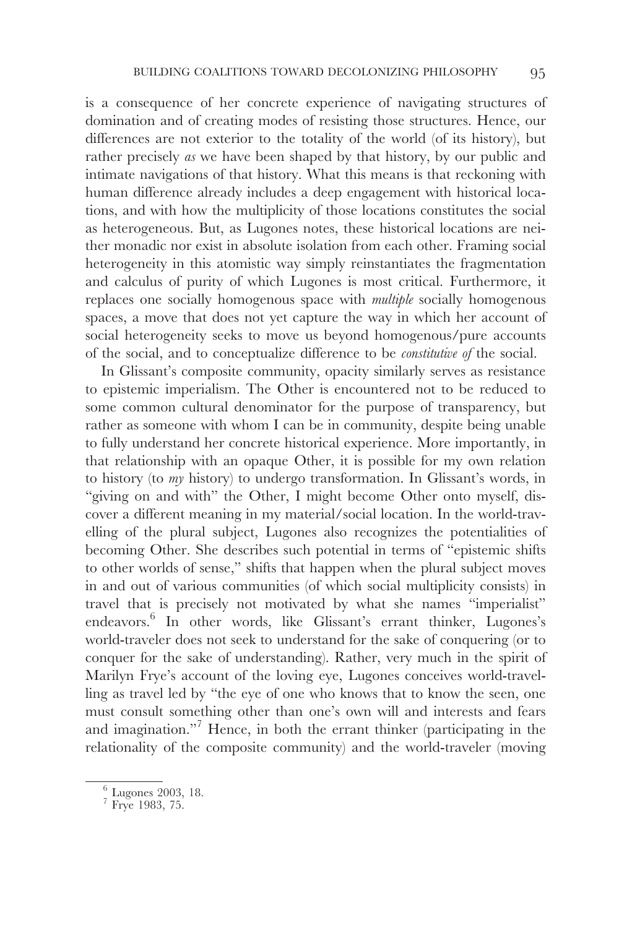is a consequence of her concrete experience of navigating structures of domination and of creating modes of resisting those structures. Hence, our differences are not exterior to the totality of the world (of its history), but rather precisely *as* we have been shaped by that history, by our public and intimate navigations of that history. What this means is that reckoning with human difference already includes a deep engagement with historical locations, and with how the multiplicity of those locations constitutes the social as heterogeneous. But, as Lugones notes, these historical locations are neither monadic nor exist in absolute isolation from each other. Framing social heterogeneity in this atomistic way simply reinstantiates the fragmentation and calculus of purity of which Lugones is most critical. Furthermore, it replaces one socially homogenous space with *multiple* socially homogenous spaces, a move that does not yet capture the way in which her account of social heterogeneity seeks to move us beyond homogenous/pure accounts of the social, and to conceptualize difference to be *constitutive of* the social.

In Glissant's composite community, opacity similarly serves as resistance to epistemic imperialism. The Other is encountered not to be reduced to some common cultural denominator for the purpose of transparency, but rather as someone with whom I can be in community, despite being unable to fully understand her concrete historical experience. More importantly, in that relationship with an opaque Other, it is possible for my own relation to history (to *my* history) to undergo transformation. In Glissant's words, in "giving on and with" the Other, I might become Other onto myself, discover a different meaning in my material/social location. In the world-travelling of the plural subject, Lugones also recognizes the potentialities of becoming Other. She describes such potential in terms of "epistemic shifts to other worlds of sense," shifts that happen when the plural subject moves in and out of various communities (of which social multiplicity consists) in travel that is precisely not motivated by what she names "imperialist" endeavors.<sup>6</sup> In other words, like Glissant's errant thinker, Lugones's world-traveler does not seek to understand for the sake of conquering (or to conquer for the sake of understanding). Rather, very much in the spirit of Marilyn Frye's account of the loving eye, Lugones conceives world-travelling as travel led by "the eye of one who knows that to know the seen, one must consult something other than one's own will and interests and fears and imagination."7 Hence, in both the errant thinker (participating in the relationality of the composite community) and the world-traveler (moving

 $\frac{6}{7}$  Lugones 2003, 18.<br>Frye 1983, 75.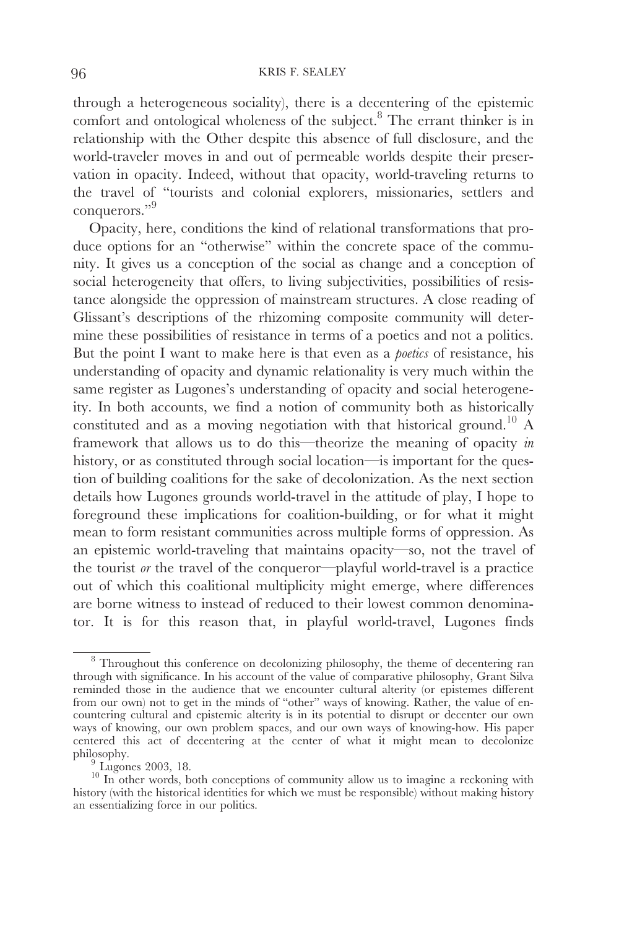through a heterogeneous sociality), there is a decentering of the epistemic comfort and ontological wholeness of the subject.<sup>8</sup> The errant thinker is in relationship with the Other despite this absence of full disclosure, and the world-traveler moves in and out of permeable worlds despite their preservation in opacity. Indeed, without that opacity, world-traveling returns to the travel of "tourists and colonial explorers, missionaries, settlers and conquerors."<sup>9</sup>

Opacity, here, conditions the kind of relational transformations that produce options for an "otherwise" within the concrete space of the community. It gives us a conception of the social as change and a conception of social heterogeneity that offers, to living subjectivities, possibilities of resistance alongside the oppression of mainstream structures. A close reading of Glissant's descriptions of the rhizoming composite community will determine these possibilities of resistance in terms of a poetics and not a politics. But the point I want to make here is that even as a *poetics* of resistance, his understanding of opacity and dynamic relationality is very much within the same register as Lugones's understanding of opacity and social heterogeneity. In both accounts, we find a notion of community both as historically constituted and as a moving negotiation with that historical ground.10 A framework that allows us to do this—theorize the meaning of opacity *in* history, or as constituted through social location—is important for the question of building coalitions for the sake of decolonization. As the next section details how Lugones grounds world-travel in the attitude of play, I hope to foreground these implications for coalition-building, or for what it might mean to form resistant communities across multiple forms of oppression. As an epistemic world-traveling that maintains opacity—so, not the travel of the tourist *or* the travel of the conqueror—playful world-travel is a practice out of which this coalitional multiplicity might emerge, where differences are borne witness to instead of reduced to their lowest common denominator. It is for this reason that, in playful world-travel, Lugones finds

<sup>8</sup> Throughout this conference on decolonizing philosophy, the theme of decentering ran through with significance. In his account of the value of comparative philosophy, Grant Silva reminded those in the audience that we encounter cultural alterity (or epistemes different from our own) not to get in the minds of "other" ways of knowing. Rather, the value of encountering cultural and epistemic alterity is in its potential to disrupt or decenter our own ways of knowing, our own problem spaces, and our own ways of knowing-how. His paper centered this act of decentering at the center of what it might mean to decolonize

philosophy. <sup>9</sup> Lugones 2003*,* 18. <sup>10</sup> In other words, both conceptions of community allow us to imagine a reckoning with history (with the historical identities for which we must be responsible) without making history an essentializing force in our politics.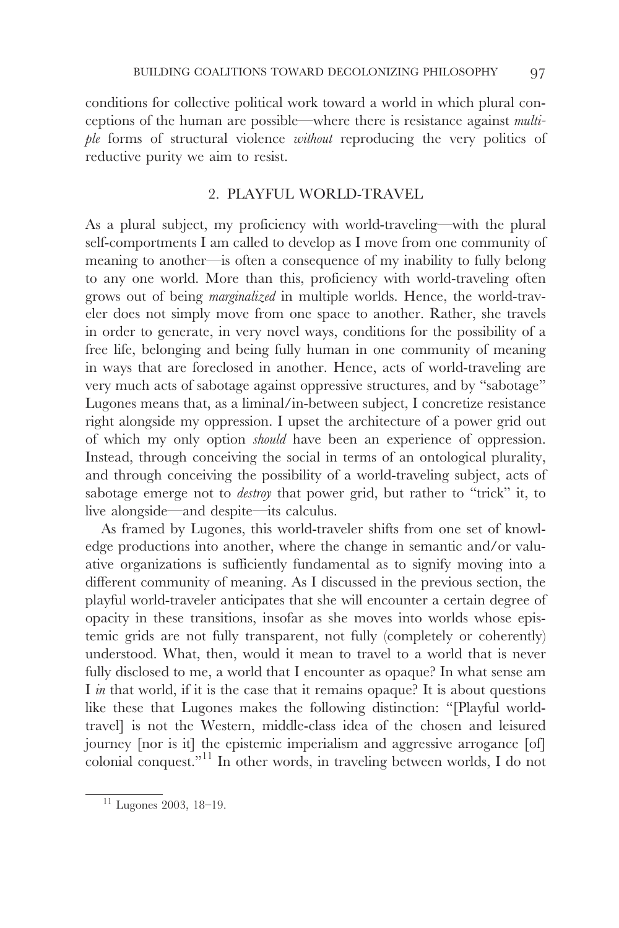conditions for collective political work toward a world in which plural conceptions of the human are possible—where there is resistance against *multiple* forms of structural violence *without* reproducing the very politics of reductive purity we aim to resist.

## 2. PLAYFUL WORLD-TRAVEL

As a plural subject, my proficiency with world-traveling—with the plural self-comportments I am called to develop as I move from one community of meaning to another—is often a consequence of my inability to fully belong to any one world. More than this, proficiency with world-traveling often grows out of being *marginalized* in multiple worlds. Hence, the world-traveler does not simply move from one space to another. Rather, she travels in order to generate, in very novel ways, conditions for the possibility of a free life, belonging and being fully human in one community of meaning in ways that are foreclosed in another. Hence, acts of world-traveling are very much acts of sabotage against oppressive structures, and by "sabotage" Lugones means that, as a liminal/in-between subject, I concretize resistance right alongside my oppression. I upset the architecture of a power grid out of which my only option *should* have been an experience of oppression. Instead, through conceiving the social in terms of an ontological plurality, and through conceiving the possibility of a world-traveling subject, acts of sabotage emerge not to *destroy* that power grid, but rather to "trick" it, to live alongside—and despite—its calculus.

As framed by Lugones, this world-traveler shifts from one set of knowledge productions into another, where the change in semantic and/or valuative organizations is sufficiently fundamental as to signify moving into a different community of meaning. As I discussed in the previous section, the playful world-traveler anticipates that she will encounter a certain degree of opacity in these transitions, insofar as she moves into worlds whose epistemic grids are not fully transparent, not fully (completely or coherently) understood. What, then, would it mean to travel to a world that is never fully disclosed to me, a world that I encounter as opaque? In what sense am I *in* that world, if it is the case that it remains opaque? It is about questions like these that Lugones makes the following distinction: "[Playful worldtravel] is not the Western, middle-class idea of the chosen and leisured journey [nor is it] the epistemic imperialism and aggressive arrogance [of] colonial conquest."11 In other words, in traveling between worlds, I do not

<sup>11</sup> Lugones 2003, 18–19.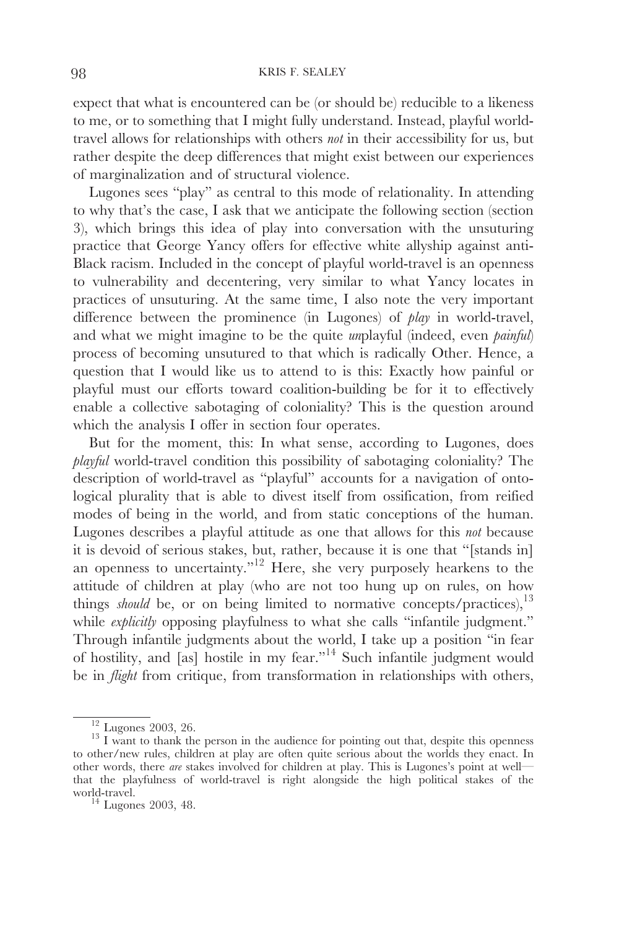#### 98 KRIS F. SEALEY

expect that what is encountered can be (or should be) reducible to a likeness to me, or to something that I might fully understand. Instead, playful worldtravel allows for relationships with others *not* in their accessibility for us, but rather despite the deep differences that might exist between our experiences of marginalization and of structural violence.

Lugones sees "play" as central to this mode of relationality. In attending to why that's the case, I ask that we anticipate the following section (section 3), which brings this idea of play into conversation with the unsuturing practice that George Yancy offers for effective white allyship against anti-Black racism. Included in the concept of playful world-travel is an openness to vulnerability and decentering, very similar to what Yancy locates in practices of unsuturing. At the same time, I also note the very important difference between the prominence (in Lugones) of *play* in world-travel, and what we might imagine to be the quite *un*playful (indeed, even *painful*) process of becoming unsutured to that which is radically Other. Hence, a question that I would like us to attend to is this: Exactly how painful or playful must our efforts toward coalition-building be for it to effectively enable a collective sabotaging of coloniality? This is the question around which the analysis I offer in section four operates.

But for the moment, this: In what sense, according to Lugones, does *playful* world-travel condition this possibility of sabotaging coloniality? The description of world-travel as "playful" accounts for a navigation of ontological plurality that is able to divest itself from ossification, from reified modes of being in the world, and from static conceptions of the human. Lugones describes a playful attitude as one that allows for this *not* because it is devoid of serious stakes, but, rather, because it is one that "[stands in] an openness to uncertainty."12 Here, she very purposely hearkens to the attitude of children at play (who are not too hung up on rules, on how things *should* be, or on being limited to normative concepts/practices),<sup>13</sup> while *explicitly* opposing playfulness to what she calls "infantile judgment." Through infantile judgments about the world, I take up a position "in fear of hostility, and [as] hostile in my fear."14 Such infantile judgment would be in *flight* from critique, from transformation in relationships with others,

 $\frac{12}{13}$  Lugones 2003, 26. 13 I want to thank the person in the audience for pointing out that, despite this openness to other/new rules, children at play are often quite serious about the worlds they enact. In other words, there *are* stakes involved for children at play. This is Lugones's point at well that the playfulness of world-travel is right alongside the high political stakes of the

 $14$  Lugones 2003, 48.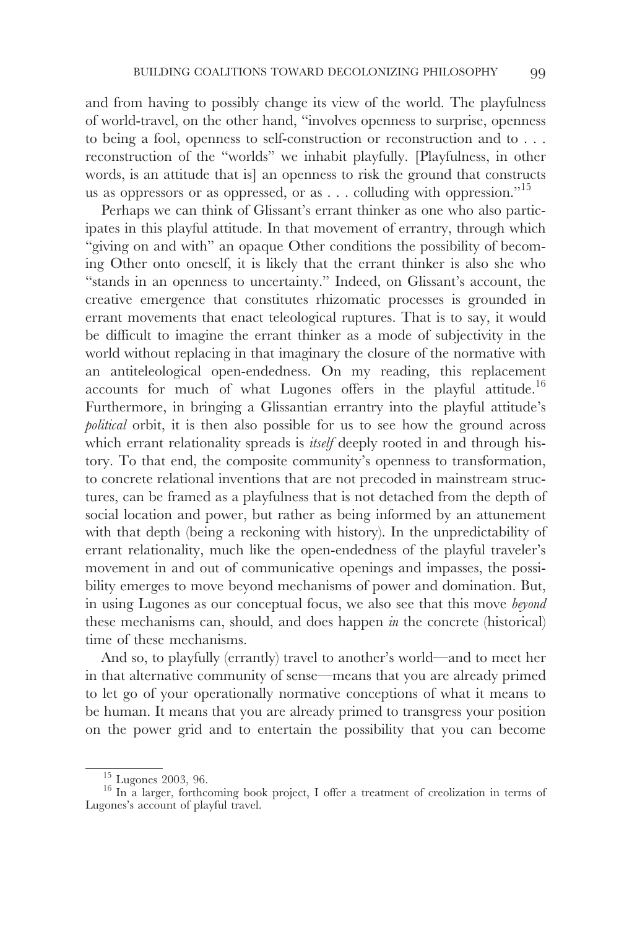and from having to possibly change its view of the world. The playfulness of world-travel, on the other hand, "involves openness to surprise, openness to being a fool, openness to self-construction or reconstruction and to . . . reconstruction of the "worlds" we inhabit playfully. [Playfulness, in other words, is an attitude that is] an openness to risk the ground that constructs us as oppressors or as oppressed, or as  $\dots$  colluding with oppression."<sup>15</sup>

Perhaps we can think of Glissant's errant thinker as one who also participates in this playful attitude. In that movement of errantry, through which "giving on and with" an opaque Other conditions the possibility of becoming Other onto oneself, it is likely that the errant thinker is also she who "stands in an openness to uncertainty." Indeed, on Glissant's account, the creative emergence that constitutes rhizomatic processes is grounded in errant movements that enact teleological ruptures. That is to say, it would be difficult to imagine the errant thinker as a mode of subjectivity in the world without replacing in that imaginary the closure of the normative with an antiteleological open-endedness. On my reading, this replacement accounts for much of what Lugones offers in the playful attitude.16 Furthermore, in bringing a Glissantian errantry into the playful attitude's *political* orbit, it is then also possible for us to see how the ground across which errant relationality spreads is *itself* deeply rooted in and through history. To that end, the composite community's openness to transformation, to concrete relational inventions that are not precoded in mainstream structures, can be framed as a playfulness that is not detached from the depth of social location and power, but rather as being informed by an attunement with that depth (being a reckoning with history). In the unpredictability of errant relationality, much like the open-endedness of the playful traveler's movement in and out of communicative openings and impasses, the possibility emerges to move beyond mechanisms of power and domination. But, in using Lugones as our conceptual focus, we also see that this move *beyond* these mechanisms can, should, and does happen *in* the concrete (historical) time of these mechanisms.

And so, to playfully (errantly) travel to another's world—and to meet her in that alternative community of sense—means that you are already primed to let go of your operationally normative conceptions of what it means to be human. It means that you are already primed to transgress your position on the power grid and to entertain the possibility that you can become

 $^{15}$  Lugones 2003, 96.  $^{16}$  In a larger, forthcoming book project, I offer a treatment of creolization in terms of Lugones's account of playful travel.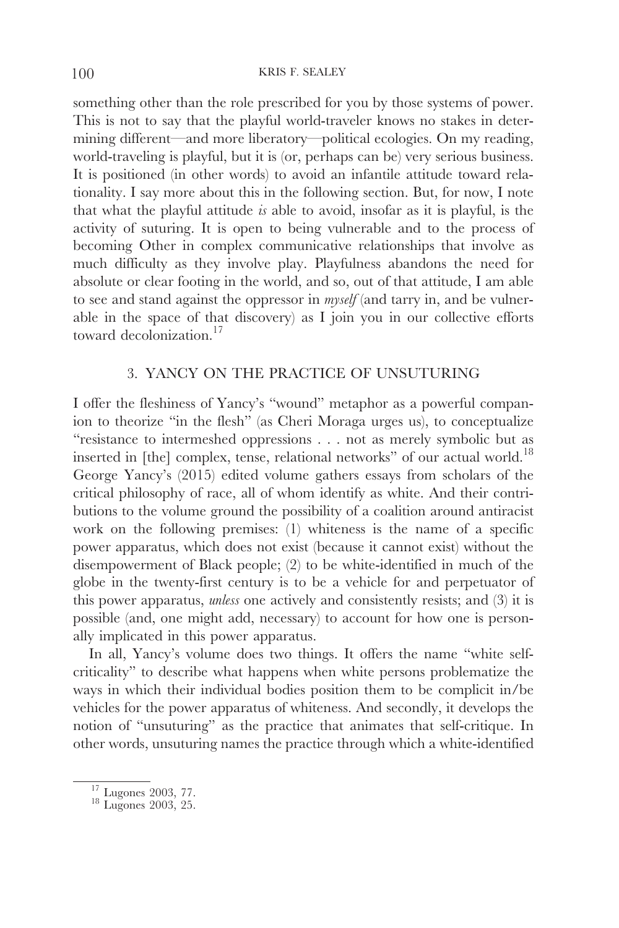something other than the role prescribed for you by those systems of power. This is not to say that the playful world-traveler knows no stakes in determining different—and more liberatory—political ecologies. On my reading, world-traveling is playful, but it is (or, perhaps can be) very serious business. It is positioned (in other words) to avoid an infantile attitude toward relationality. I say more about this in the following section. But, for now, I note that what the playful attitude *is* able to avoid, insofar as it is playful, is the activity of suturing. It is open to being vulnerable and to the process of becoming Other in complex communicative relationships that involve as much difficulty as they involve play. Playfulness abandons the need for absolute or clear footing in the world, and so, out of that attitude, I am able to see and stand against the oppressor in *myself* (and tarry in, and be vulnerable in the space of that discovery) as I join you in our collective efforts toward decolonization.<sup>17</sup>

### 3. YANCY ON THE PRACTICE OF UNSUTURING

I offer the fleshiness of Yancy's "wound" metaphor as a powerful companion to theorize "in the flesh" (as Cheri Moraga urges us), to conceptualize "resistance to intermeshed oppressions . . . not as merely symbolic but as inserted in [the] complex, tense, relational networks" of our actual world.<sup>18</sup> George Yancy's (2015) edited volume gathers essays from scholars of the critical philosophy of race, all of whom identify as white. And their contributions to the volume ground the possibility of a coalition around antiracist work on the following premises: (1) whiteness is the name of a specific power apparatus, which does not exist (because it cannot exist) without the disempowerment of Black people; (2) to be white-identified in much of the globe in the twenty-first century is to be a vehicle for and perpetuator of this power apparatus, *unless* one actively and consistently resists; and (3) it is possible (and, one might add, necessary) to account for how one is personally implicated in this power apparatus.

In all, Yancy's volume does two things. It offers the name "white selfcriticality" to describe what happens when white persons problematize the ways in which their individual bodies position them to be complicit in/be vehicles for the power apparatus of whiteness. And secondly, it develops the notion of "unsuturing" as the practice that animates that self-critique. In other words, unsuturing names the practice through which a white-identified

 $^{17}_{^{18}}$  Lugones 2003, 77. <br> 18 Lugones 2003, 25.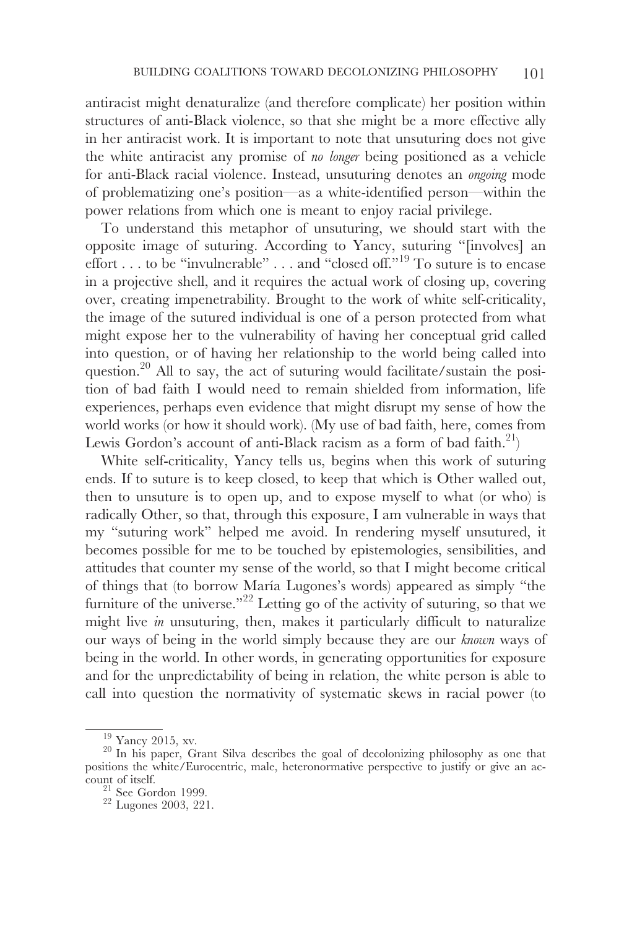antiracist might denaturalize (and therefore complicate) her position within structures of anti-Black violence, so that she might be a more effective ally in her antiracist work. It is important to note that unsuturing does not give the white antiracist any promise of *no longer* being positioned as a vehicle for anti-Black racial violence. Instead, unsuturing denotes an *ongoing* mode of problematizing one's position—as a white-identified person—within the power relations from which one is meant to enjoy racial privilege.

To understand this metaphor of unsuturing, we should start with the opposite image of suturing. According to Yancy, suturing "[involves] an effort . . . to be "invulnerable" . . . and "closed off."19 To suture is to encase in a projective shell, and it requires the actual work of closing up, covering over, creating impenetrability. Brought to the work of white self-criticality, the image of the sutured individual is one of a person protected from what might expose her to the vulnerability of having her conceptual grid called into question, or of having her relationship to the world being called into question.<sup>20</sup> All to say, the act of suturing would facilitate/sustain the position of bad faith I would need to remain shielded from information, life experiences, perhaps even evidence that might disrupt my sense of how the world works (or how it should work). (My use of bad faith, here, comes from Lewis Gordon's account of anti-Black racism as a form of bad faith.<sup>21</sup>)

White self-criticality, Yancy tells us, begins when this work of suturing ends. If to suture is to keep closed, to keep that which is Other walled out, then to unsuture is to open up, and to expose myself to what (or who) is radically Other, so that, through this exposure, I am vulnerable in ways that my "suturing work" helped me avoid. In rendering myself unsutured, it becomes possible for me to be touched by epistemologies, sensibilities, and attitudes that counter my sense of the world, so that I might become critical of things that (to borrow María Lugones's words) appeared as simply "the furniture of the universe."<sup>22</sup> Letting go of the activity of suturing, so that we might live *in* unsuturing, then, makes it particularly difficult to naturalize our ways of being in the world simply because they are our *known* ways of being in the world. In other words, in generating opportunities for exposure and for the unpredictability of being in relation, the white person is able to call into question the normativity of systematic skews in racial power (to

 $\frac{19}{20}$  Yancy 2015, xv.  $\frac{20}{20}$  In his paper, Grant Silva describes the goal of decolonizing philosophy as one that positions the white/Eurocentric, male, heteronormative perspective to justify or give an account of itself.<br> $\frac{21}{22}$  See Gordon 1999.<br> $22$  Lugones 2003, 221.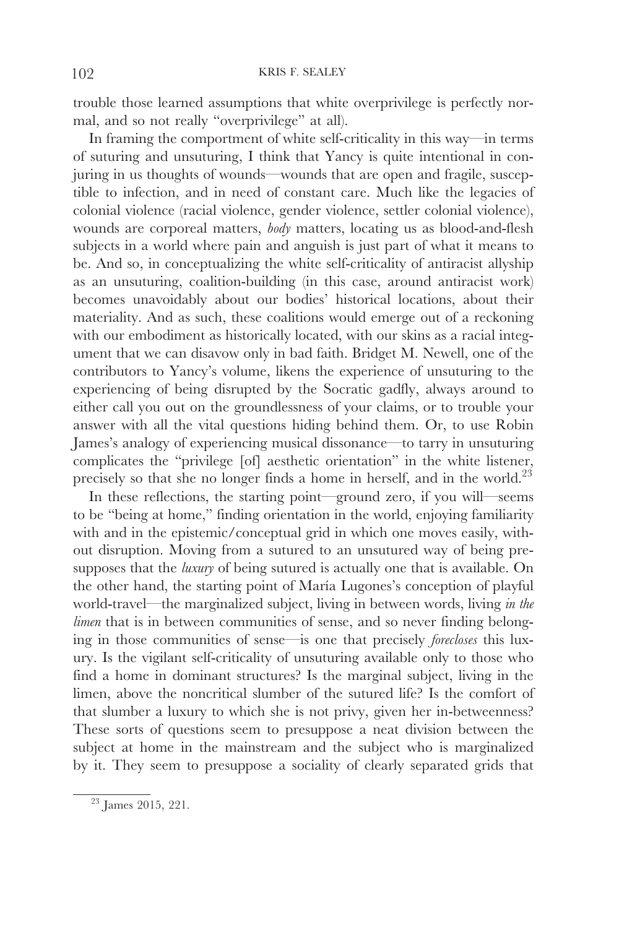trouble those learned assumptions that white overprivilege is perfectly normal, and so not really "overprivilege" at all).

In framing the comportment of white self-criticality in this way—in terms of suturing and unsuturing, I think that Yancy is quite intentional in conjuring in us thoughts of wounds—wounds that are open and fragile, susceptible to infection, and in need of constant care. Much like the legacies of colonial violence (racial violence, gender violence, settler colonial violence), wounds are corporeal matters, *body* matters, locating us as blood-and-flesh subjects in a world where pain and anguish is just part of what it means to be. And so, in conceptualizing the white self-criticality of antiracist allyship as an unsuturing, coalition-building (in this case, around antiracist work) becomes unavoidably about our bodies' historical locations, about their materiality. And as such, these coalitions would emerge out of a reckoning with our embodiment as historically located, with our skins as a racial integument that we can disavow only in bad faith. Bridget M. Newell, one of the contributors to Yancy's volume, likens the experience of unsuturing to the experiencing of being disrupted by the Socratic gadfly, always around to either call you out on the groundlessness of your claims, or to trouble your answer with all the vital questions hiding behind them. Or, to use Robin James's analogy of experiencing musical dissonance—to tarry in unsuturing complicates the "privilege [of] aesthetic orientation" in the white listener, precisely so that she no longer finds a home in herself, and in the world.<sup>23</sup>

In these reflections, the starting point—ground zero, if you will—seems to be "being at home," finding orientation in the world, enjoying familiarity with and in the epistemic/conceptual grid in which one moves easily, without disruption. Moving from a sutured to an unsutured way of being presupposes that the *luxury* of being sutured is actually one that is available. On the other hand, the starting point of María Lugones's conception of playful world-travel—the marginalized subject, living in between words, living *in the limen* that is in between communities of sense, and so never finding belonging in those communities of sense—is one that precisely *forecloses* this luxury. Is the vigilant self-criticality of unsuturing available only to those who find a home in dominant structures? Is the marginal subject, living in the limen, above the noncritical slumber of the sutured life? Is the comfort of that slumber a luxury to which she is not privy, given her in-betweenness? These sorts of questions seem to presuppose a neat division between the subject at home in the mainstream and the subject who is marginalized by it. They seem to presuppose a sociality of clearly separated grids that

 $23$  James 2015, 221.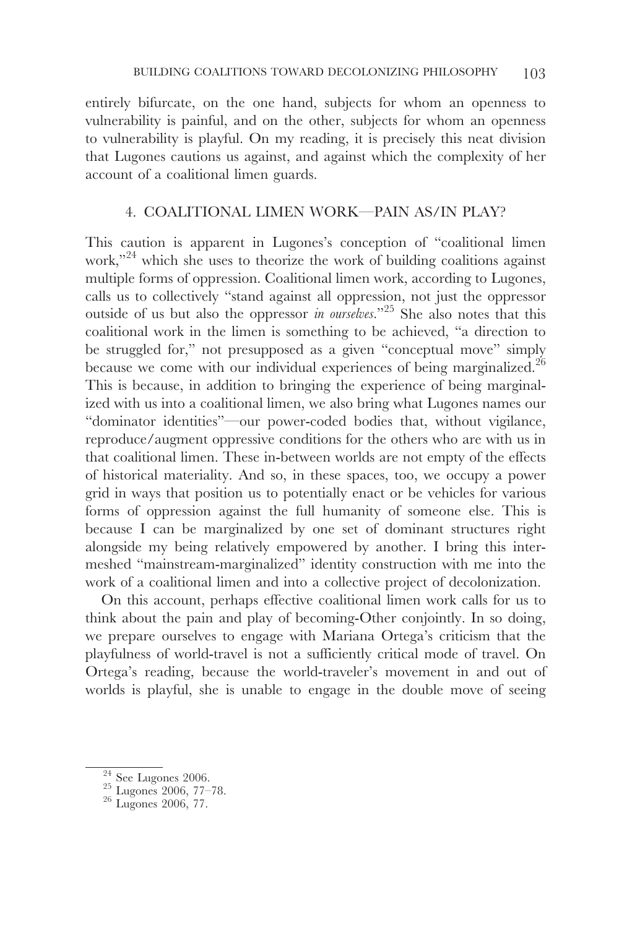entirely bifurcate, on the one hand, subjects for whom an openness to vulnerability is painful, and on the other, subjects for whom an openness to vulnerability is playful. On my reading, it is precisely this neat division that Lugones cautions us against, and against which the complexity of her account of a coalitional limen guards.

# 4. COALITIONAL LIMEN WORK—PAIN AS/IN PLAY?

This caution is apparent in Lugones's conception of "coalitional limen work,"<sup>24</sup> which she uses to theorize the work of building coalitions against multiple forms of oppression. Coalitional limen work, according to Lugones, calls us to collectively "stand against all oppression, not just the oppressor outside of us but also the oppressor *in ourselves.*"25 She also notes that this coalitional work in the limen is something to be achieved, "a direction to be struggled for," not presupposed as a given "conceptual move" simply because we come with our individual experiences of being marginalized.<sup>26</sup> This is because, in addition to bringing the experience of being marginalized with us into a coalitional limen, we also bring what Lugones names our "dominator identities"—our power-coded bodies that, without vigilance, reproduce/augment oppressive conditions for the others who are with us in that coalitional limen. These in-between worlds are not empty of the effects of historical materiality. And so, in these spaces, too, we occupy a power grid in ways that position us to potentially enact or be vehicles for various forms of oppression against the full humanity of someone else. This is because I can be marginalized by one set of dominant structures right alongside my being relatively empowered by another. I bring this intermeshed "mainstream-marginalized" identity construction with me into the work of a coalitional limen and into a collective project of decolonization.

On this account, perhaps effective coalitional limen work calls for us to think about the pain and play of becoming-Other conjointly. In so doing, we prepare ourselves to engage with Mariana Ortega's criticism that the playfulness of world-travel is not a sufficiently critical mode of travel. On Ortega's reading, because the world-traveler's movement in and out of worlds is playful, she is unable to engage in the double move of seeing

 $\frac{24}{25}$  See Lugones 2006.<br>
<sup>25</sup> Lugones 2006, 77–78.<br>
<sup>26</sup> Lugones 2006, 77.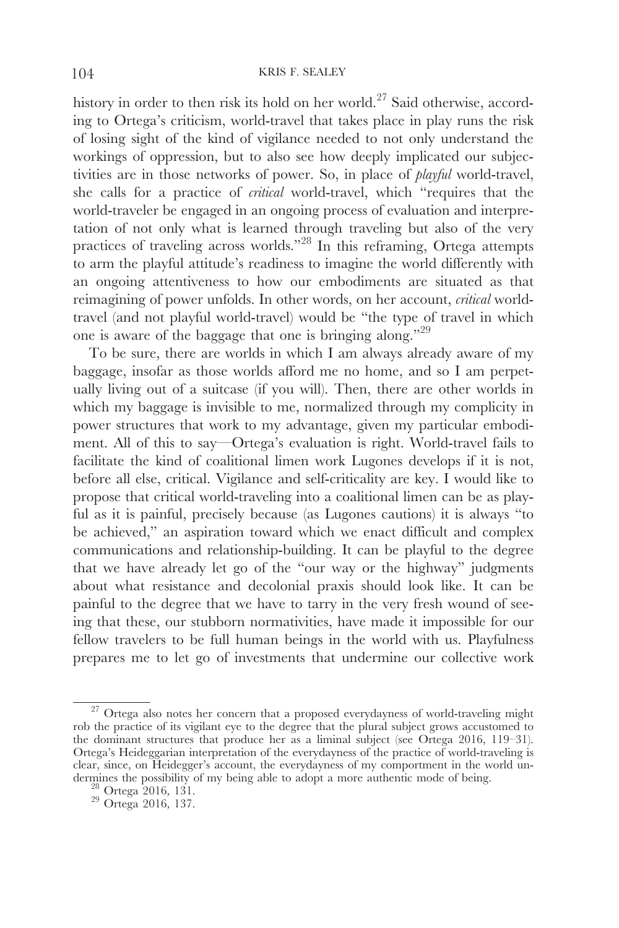history in order to then risk its hold on her world.<sup>27</sup> Said otherwise, according to Ortega's criticism, world-travel that takes place in play runs the risk of losing sight of the kind of vigilance needed to not only understand the workings of oppression, but to also see how deeply implicated our subjectivities are in those networks of power. So, in place of *playful* world-travel, she calls for a practice of *critical* world-travel, which "requires that the world-traveler be engaged in an ongoing process of evaluation and interpretation of not only what is learned through traveling but also of the very practices of traveling across worlds."28 In this reframing, Ortega attempts to arm the playful attitude's readiness to imagine the world differently with an ongoing attentiveness to how our embodiments are situated as that reimagining of power unfolds. In other words, on her account, *critical* worldtravel (and not playful world-travel) would be "the type of travel in which one is aware of the baggage that one is bringing along."29

To be sure, there are worlds in which I am always already aware of my baggage, insofar as those worlds afford me no home, and so I am perpetually living out of a suitcase (if you will). Then, there are other worlds in which my baggage is invisible to me, normalized through my complicity in power structures that work to my advantage, given my particular embodiment. All of this to say—Ortega's evaluation is right. World-travel fails to facilitate the kind of coalitional limen work Lugones develops if it is not, before all else, critical. Vigilance and self-criticality are key. I would like to propose that critical world-traveling into a coalitional limen can be as playful as it is painful, precisely because (as Lugones cautions) it is always "to be achieved," an aspiration toward which we enact difficult and complex communications and relationship-building. It can be playful to the degree that we have already let go of the "our way or the highway" judgments about what resistance and decolonial praxis should look like. It can be painful to the degree that we have to tarry in the very fresh wound of seeing that these, our stubborn normativities, have made it impossible for our fellow travelers to be full human beings in the world with us. Playfulness prepares me to let go of investments that undermine our collective work

 $\overline{27}$  Ortega also notes her concern that a proposed everydayness of world-traveling might rob the practice of its vigilant eye to the degree that the plural subject grows accustomed to the dominant structures that produce her as a liminal subject (see Ortega 2016, 119–31). Ortega's Heideggarian interpretation of the everydayness of the practice of world-traveling is clear, since, on Heidegger's account, the everydayness of my comportment in the world undermines the possibility of my being able to adopt a more authentic mode of being. <sup>28</sup> Ortega 2016*,* 131. <sup>29</sup> Ortega 2016*,* 137.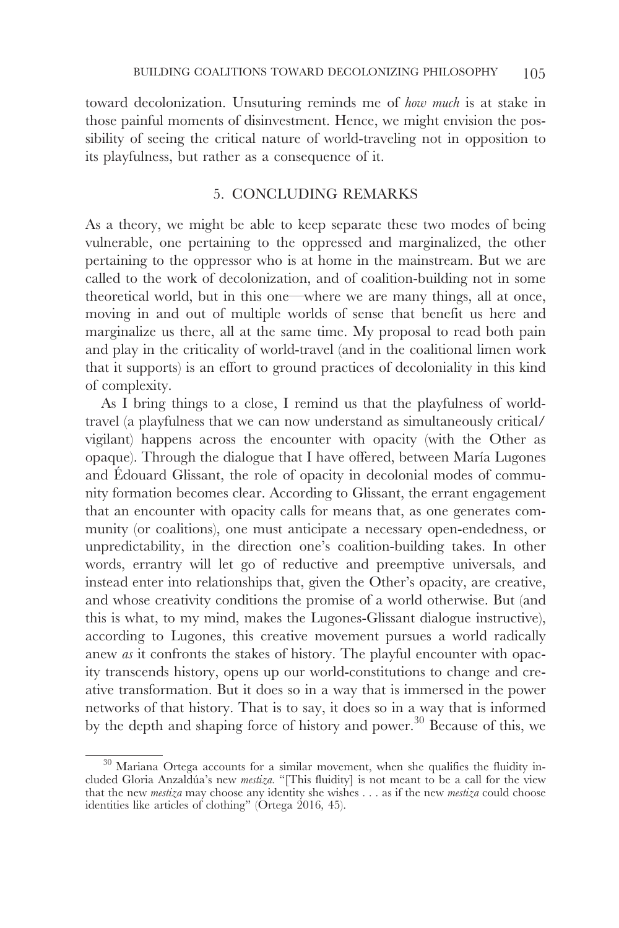toward decolonization. Unsuturing reminds me of *how much* is at stake in those painful moments of disinvestment. Hence, we might envision the possibility of seeing the critical nature of world-traveling not in opposition to its playfulness, but rather as a consequence of it.

## 5. CONCLUDING REMARKS

As a theory, we might be able to keep separate these two modes of being vulnerable, one pertaining to the oppressed and marginalized, the other pertaining to the oppressor who is at home in the mainstream. But we are called to the work of decolonization, and of coalition-building not in some theoretical world, but in this one—where we are many things, all at once, moving in and out of multiple worlds of sense that benefit us here and marginalize us there, all at the same time. My proposal to read both pain and play in the criticality of world-travel (and in the coalitional limen work that it supports) is an effort to ground practices of decoloniality in this kind of complexity.

As I bring things to a close, I remind us that the playfulness of worldtravel (a playfulness that we can now understand as simultaneously critical/ vigilant) happens across the encounter with opacity (with the Other as opaque). Through the dialogue that I have offered, between María Lugones and Édouard Glissant, the role of opacity in decolonial modes of community formation becomes clear. According to Glissant, the errant engagement that an encounter with opacity calls for means that, as one generates community (or coalitions), one must anticipate a necessary open-endedness, or unpredictability, in the direction one's coalition-building takes. In other words, errantry will let go of reductive and preemptive universals, and instead enter into relationships that, given the Other's opacity, are creative, and whose creativity conditions the promise of a world otherwise. But (and this is what, to my mind, makes the Lugones-Glissant dialogue instructive), according to Lugones, this creative movement pursues a world radically anew *as* it confronts the stakes of history. The playful encounter with opacity transcends history, opens up our world-constitutions to change and creative transformation. But it does so in a way that is immersed in the power networks of that history. That is to say, it does so in a way that is informed by the depth and shaping force of history and power.<sup>30</sup> Because of this, we

 $30$  Mariana Ortega accounts for a similar movement, when she qualifies the fluidity included Gloria Anzaldúa's new *mestiza.* "[This fluidity] is not meant to be a call for the view that the new *mestiza* may choose any identity she wishes . . . as if the new *mestiza* could choose identities like articles of clothing" (Ortega 2016*,* 45).